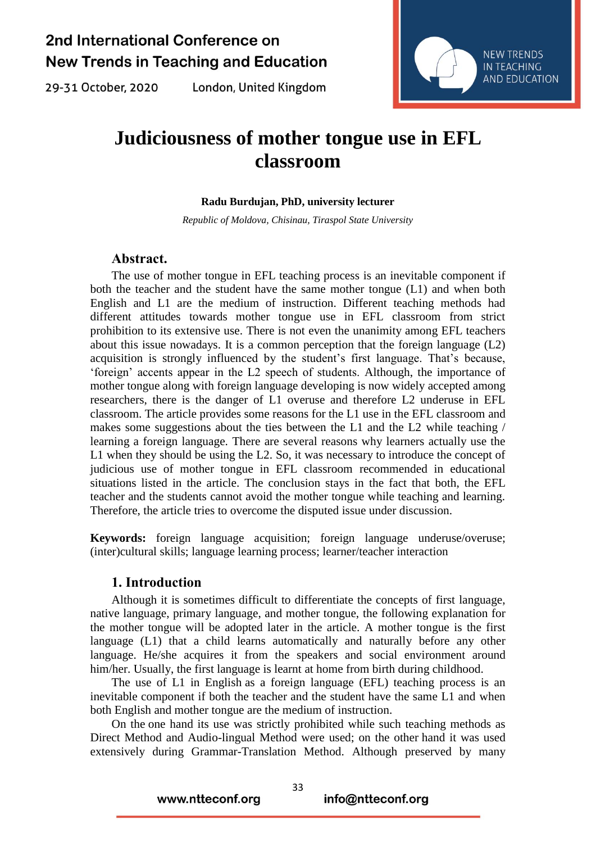29-31 October, 2020

London, United Kingdom



# **Judiciousness of mother tongue use in EFL classroom**

#### **Radu Burdujan, PhD, university lecturer**

*Republic of Moldova, Chisinau, Tiraspol State University*

### **Abstract.**

The use of mother tongue in EFL teaching process is an inevitable component if both the teacher and the student have the same mother tongue (L1) and when both English and L1 are the medium of instruction. Different teaching methods had different attitudes towards mother tongue use in EFL classroom from strict prohibition to its extensive use. There is not even the unanimity among EFL teachers about this issue nowadays. It is a common perception that the foreign language (L2) acquisition is strongly influenced by the student's first language. That's because, 'foreign' accents appear in the L2 speech of students. Although, the importance of mother tongue along with foreign language developing is now widely accepted among researchers, there is the danger of L1 overuse and therefore L2 underuse in EFL classroom. The article provides some reasons for the L1 use in the EFL classroom and makes some suggestions about the ties between the L1 and the L2 while teaching / learning a foreign language. There are several reasons why learners actually use the L1 when they should be using the L2. So, it was necessary to introduce the concept of judicious use of mother tongue in EFL classroom recommended in educational situations listed in the article. The conclusion stays in the fact that both, the EFL teacher and the students cannot avoid the mother tongue while teaching and learning. Therefore, the article tries to overcome the disputed issue under discussion.

**Keywords:** foreign language acquisition; foreign language underuse/overuse; (inter)cultural skills; language learning process; learner/teacher interaction

#### **1. Introduction**

Although it is sometimes difficult to differentiate the concepts of first language, native language, primary language, and mother tongue, the following explanation for the mother tongue will be adopted later in the article. A mother tongue is the first language (L1) that a child learns automatically and naturally before any other language. He/she acquires it from the speakers and social environment around him/her. Usually, the first language is learnt at home from birth during childhood.

The use of L1 in English as a foreign language (EFL) teaching process is an inevitable component if both the teacher and the student have the same L1 and when both English and mother tongue are the medium of instruction.

On the one hand its use was strictly prohibited while such teaching methods as Direct Method and Audio-lingual Method were used; on the other hand it was used extensively during Grammar-Translation Method. Although preserved by many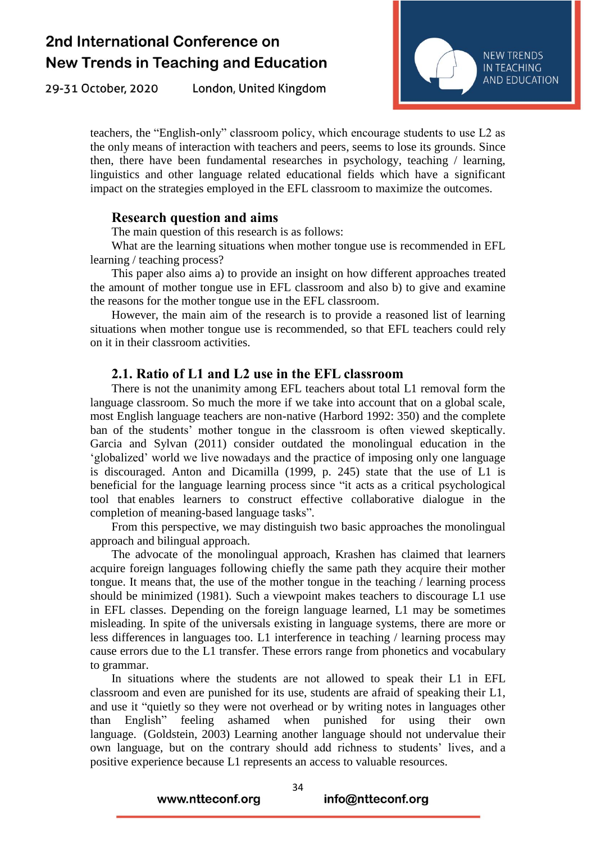29-31 October, 2020 London, United Kingdom



teachers, the "English-only" classroom policy, which encourage students to use L2 as the only means of interaction with teachers and peers, seems to lose its grounds. Since then, there have been fundamental researches in psychology, teaching / learning, linguistics and other language related educational fields which have a significant impact on the strategies employed in the EFL classroom to maximize the outcomes.

#### **Research question and aims**

The main question of this research is as follows:

What are the learning situations when mother tongue use is recommended in EFL learning / teaching process?

This paper also aims a) to provide an insight on how different approaches treated the amount of mother tongue use in EFL classroom and also b) to give and examine the reasons for the mother tongue use in the EFL classroom.

However, the main aim of the research is to provide a reasoned list of learning situations when mother tongue use is recommended, so that EFL teachers could rely on it in their classroom activities.

### **2.1. Ratio of L1 and L2 use in the EFL classroom**

There is not the unanimity among EFL teachers about total L1 removal form the language classroom. So much the more if we take into account that on a global scale, most English language teachers are non-native (Harbord 1992: 350) and the complete ban of the students' mother tongue in the classroom is often viewed skeptically. Garcia and Sylvan (2011) consider outdated the monolingual education in the 'globalized' world we live nowadays and the practice of imposing only one language is discouraged. Anton and Dicamilla (1999, p. 245) state that the use of L1 is beneficial for the language learning process since "it acts as a critical psychological tool that enables learners to construct effective collaborative dialogue in the completion of meaning-based language tasks".

From this perspective, we may distinguish two basic approaches the monolingual approach and bilingual approach.

The advocate of the monolingual approach, Krashen has claimed that learners acquire foreign languages following chiefly the same path they acquire their mother tongue. It means that, the use of the mother tongue in the teaching / learning process should be minimized (1981). Such a viewpoint makes teachers to discourage L1 use in EFL classes. Depending on the foreign language learned, L1 may be sometimes misleading. In spite of the universals existing in language systems, there are more or less differences in languages too. L1 interference in teaching / learning process may cause errors due to the L1 transfer. These errors range from phonetics and vocabulary to grammar.

In situations where the students are not allowed to speak their L1 in EFL classroom and even are punished for its use, students are afraid of speaking their L1, and use it "quietly so they were not overhead or by writing notes in languages other than English" feeling ashamed when punished for using their own language. (Goldstein, 2003) Learning another language should not undervalue their own language, but on the contrary should add richness to students' lives, and a positive experience because L1 represents an access to valuable resources.

www.ntteconf.org

info@ntteconf.org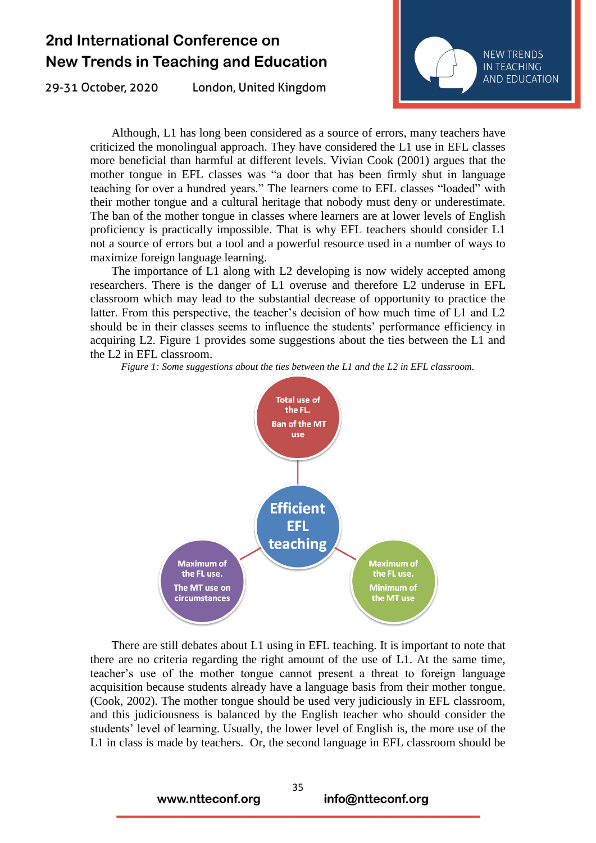29-31 October, 2020

London, United Kingdom



Although, L1 has long been considered as a source of errors, many teachers have criticized the monolingual approach. They have considered the L1 use in EFL classes more beneficial than harmful at different levels. Vivian Cook (2001) argues that the mother tongue in EFL classes was "a door that has been firmly shut in language teaching for over a hundred years." The learners come to EFL classes "loaded" with their mother tongue and a cultural heritage that nobody must deny or underestimate. The ban of the mother tongue in classes where learners are at lower levels of English proficiency is practically impossible. That is why EFL teachers should consider L1 not a source of errors but a tool and a powerful resource used in a number of ways to maximize foreign language learning.

The importance of L1 along with L2 developing is now widely accepted among researchers. There is the danger of L1 overuse and therefore L2 underuse in EFL classroom which may lead to the substantial decrease of opportunity to practice the latter. From this perspective, the teacher's decision of how much time of L1 and L2 should be in their classes seems to influence the students' performance efficiency in acquiring L2. Figure 1 provides some suggestions about the ties between the L1 and the L2 in EFL classroom.

*Figure 1: Some suggestions about the ties between the L1 and the L2 in EFL classroom.*



There are still debates about L1 using in EFL teaching. It is important to note that there are no criteria regarding the right amount of the use of L1. At the same time, teacher's use of the mother tongue cannot present a threat to foreign language acquisition because students already have a language basis from their mother tongue. (Cook, 2002). The mother tongue should be used very judiciously in EFL classroom, and this judiciousness is balanced by the English teacher who should consider the students' level of learning. Usually, the lower level of English is, the more use of the L1 in class is made by teachers. Or, the second language in EFL classroom should be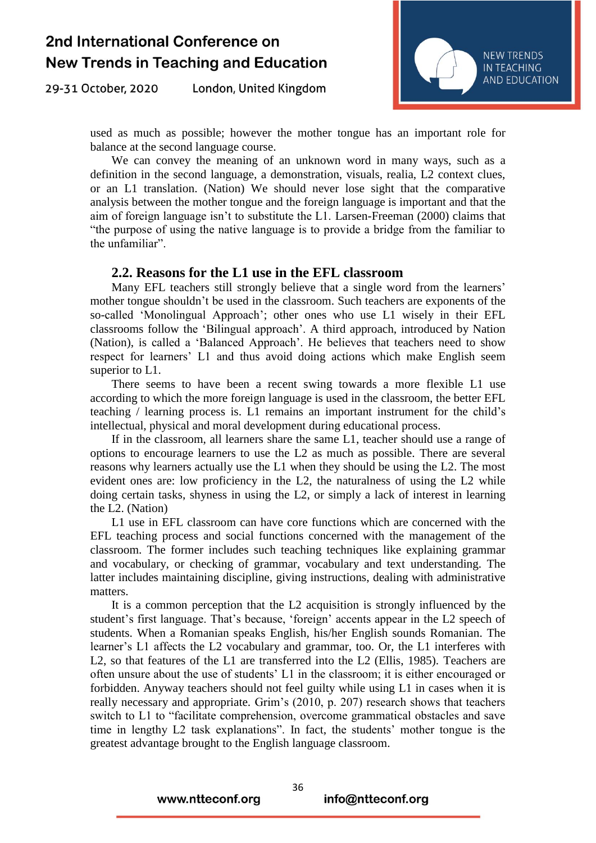29-31 October, 2020 London, United Kingdom



used as much as possible; however the mother tongue has an important role for balance at the second language course.

We can convey the meaning of an unknown word in many ways, such as a definition in the second language, a demonstration, visuals, realia, L2 context clues, or an L1 translation. (Nation) We should never lose sight that the comparative analysis between the mother tongue and the foreign language is important and that the aim of foreign language isn't to substitute the L1. Larsen-Freeman (2000) claims that "the purpose of using the native language is to provide a bridge from the familiar to the unfamiliar".

#### **2.2. Reasons for the L1 use in the EFL classroom**

Many EFL teachers still strongly believe that a single word from the learners' mother tongue shouldn't be used in the classroom. Such teachers are exponents of the so-called 'Monolingual Approach'; other ones who use L1 wisely in their EFL classrooms follow the 'Bilingual approach'. A third approach, introduced by Nation (Nation), is called a 'Balanced Approach'. He believes that teachers need to show respect for learners' L1 and thus avoid doing actions which make English seem superior to L1.

There seems to have been a recent swing towards a more flexible L1 use according to which the more foreign language is used in the classroom, the better EFL teaching / learning process is. L1 remains an important instrument for the child's intellectual, physical and moral development during educational process.

If in the classroom, all learners share the same L1, teacher should use a range of options to encourage learners to use the L2 as much as possible. There are several reasons why learners actually use the L1 when they should be using the L2. The most evident ones are: low proficiency in the L2, the naturalness of using the L2 while doing certain tasks, shyness in using the L2, or simply a lack of interest in learning the L2. (Nation)

L1 use in EFL classroom can have core functions which are concerned with the EFL teaching process and social functions concerned with the management of the classroom. The former includes such teaching techniques like explaining grammar and vocabulary, or checking of grammar, vocabulary and text understanding. The latter includes maintaining discipline, giving instructions, dealing with administrative matters.

It is a common perception that the L2 acquisition is strongly influenced by the student's first language. That's because, 'foreign' accents appear in the L2 speech of students. When a Romanian speaks English, his/her English sounds Romanian. The learner's L1 affects the L2 vocabulary and grammar, too. Or, the L1 interferes with L2, so that features of the L1 are transferred into the L2 (Ellis, 1985). Teachers are often unsure about the use of students' L1 in the classroom; it is either encouraged or forbidden. Anyway teachers should not feel guilty while using L1 in cases when it is really necessary and appropriate. Grim's (2010, p. 207) research shows that teachers switch to L1 to "facilitate comprehension, overcome grammatical obstacles and save time in lengthy L2 task explanations". In fact, the students' mother tongue is the greatest advantage brought to the English language classroom.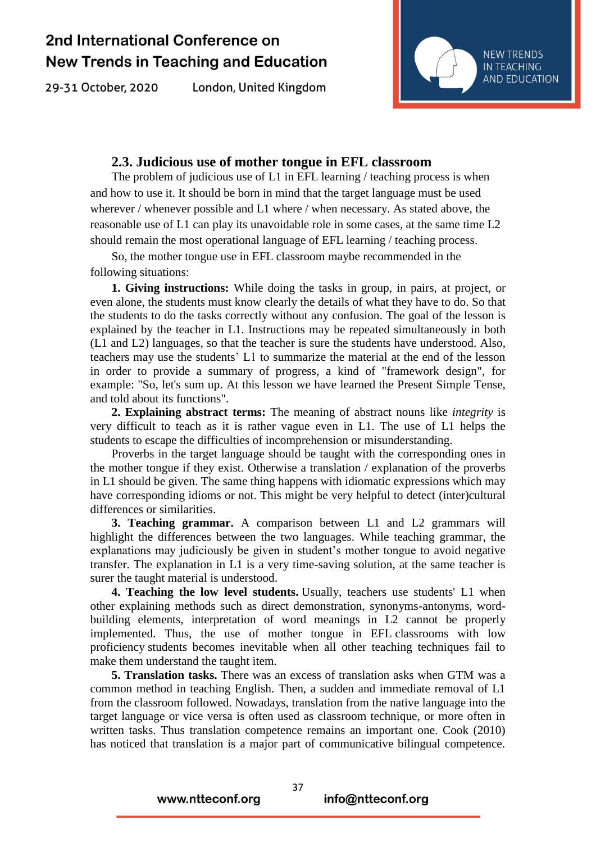29-31 October, 2020

London, United Kingdom



### **2.3. Judicious use of mother tongue in EFL classroom**

The problem of judicious use of L1 in EFL learning / teaching process is when and how to use it. It should be born in mind that the target language must be used wherever / whenever possible and L1 where / when necessary. As stated above, the reasonable use of L1 can play its unavoidable role in some cases, at the same time L2 should remain the most operational language of EFL learning / teaching process.

So, the mother tongue use in EFL classroom maybe recommended in the following situations:

**1. Giving instructions:** While doing the tasks in group, in pairs, at project, or even alone, the students must know clearly the details of what they have to do. So that the students to do the tasks correctly without any confusion. The goal of the lesson is explained by the teacher in L1. Instructions may be repeated simultaneously in both (L1 and L2) languages, so that the teacher is sure the students have understood. Also, teachers may use the students' L1 to summarize the material at the end of the lesson in order to provide a summary of progress, a kind of "framework design", for example: "So, let's sum up. At this lesson we have learned the Present Simple Tense, and told about its functions".

**2. Explaining abstract terms:** The meaning of abstract nouns like *integrity* is very difficult to teach as it is rather vague even in L1. The use of L1 helps the students to escape the difficulties of incomprehension or misunderstanding.

Proverbs in the target language should be taught with the corresponding ones in the mother tongue if they exist. Otherwise a translation / explanation of the proverbs in L1 should be given. The same thing happens with idiomatic expressions which may have corresponding idioms or not. This might be very helpful to detect (inter)cultural differences or similarities.

**3. Teaching grammar.** A comparison between L1 and L2 grammars will highlight the differences between the two languages. While teaching grammar, the explanations may judiciously be given in student's mother tongue to avoid negative transfer. The explanation in L1 is a very time-saving solution, at the same teacher is surer the taught material is understood.

**4. Teaching the low level students.** Usually, teachers use students' L1 when other explaining methods such as direct demonstration, synonyms-antonyms, wordbuilding elements, interpretation of word meanings in L2 cannot be properly implemented. Thus, the use of mother tongue in EFL classrooms with low proficiency students becomes inevitable when all other teaching techniques fail to make them understand the taught item.

**5. Translation tasks.** There was an excess of translation asks when GTM was a common method in teaching English. Then, a sudden and immediate removal of L1 from the classroom followed. Nowadays, translation from the native language into the target language or vice versa is often used as classroom technique, or more often in written tasks. Thus translation competence remains an important one. Cook (2010) has noticed that translation is a major part of communicative bilingual competence.

www.ntteconf.org

info@ntteconf.org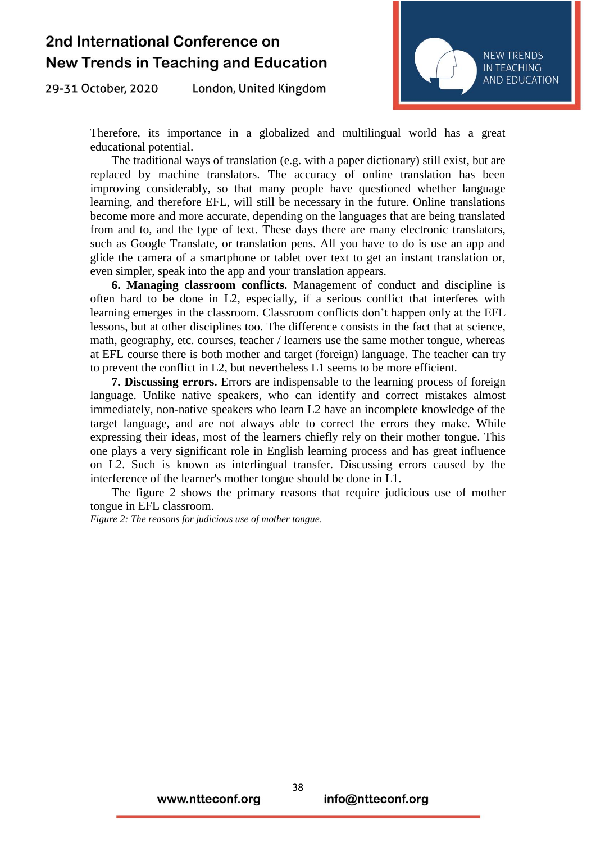29-31 October, 2020 London, United Kingdom



Therefore, its importance in a globalized and multilingual world has a great educational potential.

The traditional ways of translation (e.g. with a paper dictionary) still exist, but are replaced by machine translators. The accuracy of online translation has been improving considerably, so that many people have questioned whether language learning, and therefore EFL, will still be necessary in the future. Online translations become more and more accurate, depending on the languages that are being translated from and to, and the type of text. These days there are many electronic translators, such as Google Translate, or translation pens. All you have to do is use an app and glide the camera of a smartphone or tablet over text to get an instant translation or, even simpler, speak into the app and your translation appears.

**6. Managing classroom conflicts.** Management of conduct and discipline is often hard to be done in L2, especially, if a serious conflict that interferes with learning emerges in the classroom. Classroom conflicts don't happen only at the EFL lessons, but at other disciplines too. The difference consists in the fact that at science, math, geography, etc. courses, teacher / learners use the same mother tongue, whereas at EFL course there is both mother and target (foreign) language. The teacher can try to prevent the conflict in L2, but nevertheless L1 seems to be more efficient.

**7. Discussing errors.** Errors are indispensable to the learning process of foreign language. Unlike native speakers, who can identify and correct mistakes almost immediately, non-native speakers who learn L2 have an incomplete knowledge of the target language, and are not always able to correct the errors they make. While expressing their ideas, most of the learners chiefly rely on their mother tongue. This one plays a very significant role in English learning process and has great influence on L2. Such is known as interlingual transfer. Discussing errors caused by the interference of the learner's mother tongue should be done in L1.

The figure 2 shows the primary reasons that require judicious use of mother tongue in EFL classroom.

*Figure 2: The reasons for judicious use of mother tongue.*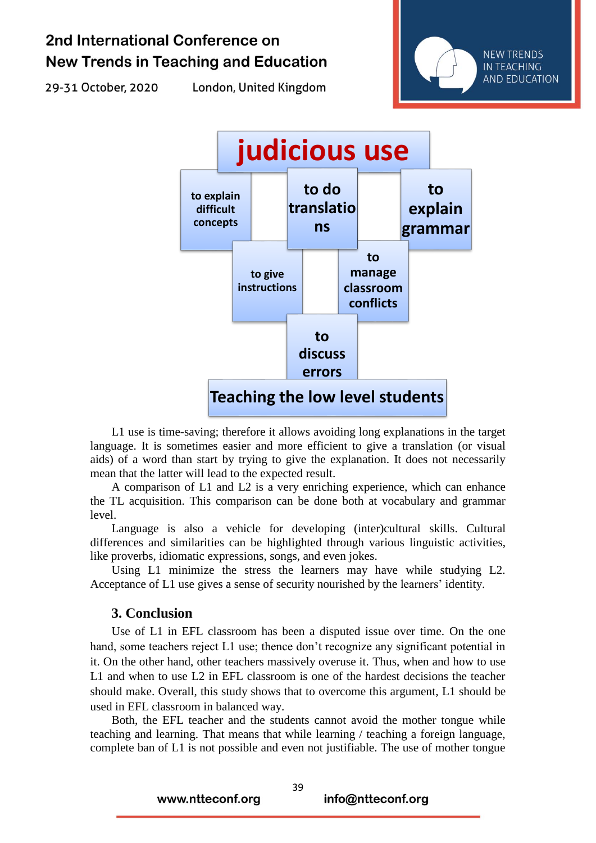29-31 October, 2020

London, United Kingdom





L1 use is time-saving; therefore it allows avoiding long explanations in the target language. It is sometimes easier and more efficient to give a translation (or visual aids) of a word than start by trying to give the explanation. It does not necessarily mean that the latter will lead to the expected result.

A comparison of L1 and L2 is a very enriching experience, which can enhance the TL acquisition. This comparison can be done both at vocabulary and grammar level.

Language is also a vehicle for developing (inter)cultural skills. Cultural differences and similarities can be highlighted through various linguistic activities, like proverbs, idiomatic expressions, songs, and even jokes.

Using L1 minimize the stress the learners may have while studying L2. Acceptance of L1 use gives a sense of security nourished by the learners' identity.

### **3. Conclusion**

Use of L1 in EFL classroom has been a disputed issue over time. On the one hand, some teachers reject L1 use; thence don't recognize any significant potential in it. On the other hand, other teachers massively overuse it. Thus, when and how to use L1 and when to use L2 in EFL classroom is one of the hardest decisions the teacher should make. Overall, this study shows that to overcome this argument, L1 should be used in EFL classroom in balanced way.

Both, the EFL teacher and the students cannot avoid the mother tongue while teaching and learning. That means that while learning / teaching a foreign language, complete ban of L1 is not possible and even not justifiable. The use of mother tongue